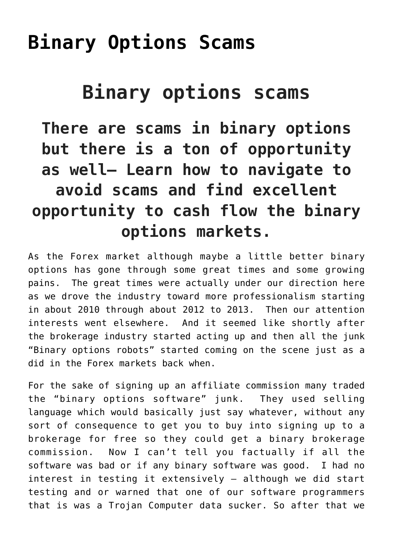## **[Binary Options Scams](https://binaryoptionsauthority.com/binary-options-authority/binary-options/binary-options-scams/)**

## **Binary options scams**

**There are scams in binary options but there is a ton of opportunity as well– Learn how to navigate to avoid scams and find excellent opportunity to cash flow the binary options markets.**

As the Forex market although maybe a little better binary options has gone through some great times and some growing pains. The great times were actually under our direction here as we drove the industry toward more professionalism starting in about 2010 through about 2012 to 2013. Then our attention interests went elsewhere. And it seemed like shortly after the brokerage industry started acting up and then all the junk "Binary options robots" started coming on the scene just as a did in the Forex markets back when.

For the sake of signing up an affiliate commission many traded the "binary options software" junk. They used selling language which would basically just say whatever, without any sort of consequence to get you to buy into signing up to a brokerage for free so they could get a binary brokerage commission. Now I can't tell you factually if all the software was bad or if any binary software was good. I had no interest in testing it extensively – although we did start testing and or warned that one of our software programmers that is was a Trojan Computer data sucker. So after that we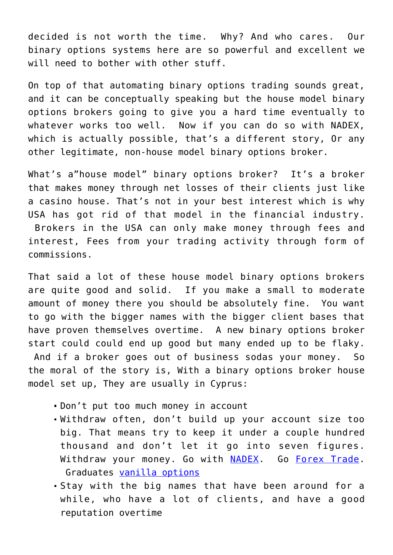decided is not worth the time. Why? And who cares. Our binary options systems here are so powerful and excellent we will need to bother with other stuff.

On top of that automating binary options trading sounds great, and it can be conceptually speaking but the house model binary options brokers going to give you a hard time eventually to whatever works too well. Now if you can do so with NADEX, which is actually possible, that's a different story, Or any other legitimate, non-house model binary options broker.

What's a"house model" binary options broker? It's a broker that makes money through net losses of their clients just like a casino house. That's not in your best interest which is why USA has got rid of that model in the financial industry. Brokers in the USA can only make money through fees and interest, Fees from your trading activity through form of commissions.

That said a lot of these house model binary options brokers are quite good and solid. If you make a small to moderate amount of money there you should be absolutely fine. You want to go with the bigger names with the bigger client bases that have proven themselves overtime. A new binary options broker start could could end up good but many ended up to be flaky. And if a broker goes out of business sodas your money. So the moral of the story is, With a binary options broker house model set up, They are usually in Cyprus:

- Don't put too much money in account
- Withdraw often, don't build up your account size too big. That means try to keep it under a couple hundred thousand and don't let it go into seven figures. Withdraw your money. Go with [NADEX](https://binaryoptionsauthority.com/nadex-binary-options-systems/). Go [Forex Trade.](http://forextradingauthority.com) Graduates [vanilla options](http://optionstradingauthority.com)
- Stay with the big names that have been around for a while, who have a lot of clients, and have a good reputation overtime